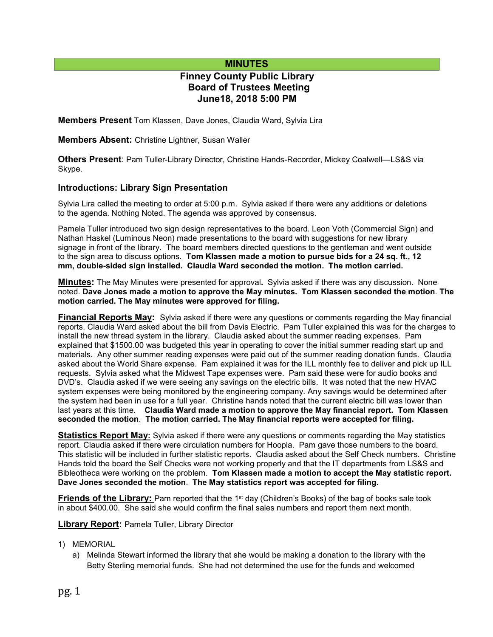## **MINUTES**

# **Finney County Public Library Board of Trustees Meeting June18, 2018 5:00 PM**

**Members Present** Tom Klassen, Dave Jones, Claudia Ward, Sylvia Lira

**Members Absent:** Christine Lightner, Susan Waller

**Others Present**: Pam Tuller-Library Director, Christine Hands-Recorder, Mickey Coalwell—LS&S via Skype.

### **Introductions: Library Sign Presentation**

Sylvia Lira called the meeting to order at 5:00 p.m. Sylvia asked if there were any additions or deletions to the agenda. Nothing Noted. The agenda was approved by consensus.

Pamela Tuller introduced two sign design representatives to the board. Leon Voth (Commercial Sign) and Nathan Haskel (Luminous Neon) made presentations to the board with suggestions for new library signage in front of the library. The board members directed questions to the gentleman and went outside to the sign area to discuss options. **Tom Klassen made a motion to pursue bids for a 24 sq. ft., 12 mm, double-sided sign installed. Claudia Ward seconded the motion. The motion carried.**

**Minutes:** The May Minutes were presented for approval**.** Sylvia asked if there was any discussion. None noted. **Dave Jones made a motion to approve the May minutes. Tom Klassen seconded the motion**. **The motion carried. The May minutes were approved for filing.** 

**Financial Reports May:** Sylvia asked if there were any questions or comments regarding the May financial reports. Claudia Ward asked about the bill from Davis Electric. Pam Tuller explained this was for the charges to install the new thread system in the library. Claudia asked about the summer reading expenses. Pam explained that \$1500.00 was budgeted this year in operating to cover the initial summer reading start up and materials. Any other summer reading expenses were paid out of the summer reading donation funds. Claudia asked about the World Share expense. Pam explained it was for the ILL monthly fee to deliver and pick up ILL requests. Sylvia asked what the Midwest Tape expenses were. Pam said these were for audio books and DVD's. Claudia asked if we were seeing any savings on the electric bills. It was noted that the new HVAC system expenses were being monitored by the engineering company. Any savings would be determined after the system had been in use for a full year. Christine hands noted that the current electric bill was lower than last years at this time. **Claudia Ward made a motion to approve the May financial report. Tom Klassen seconded the motion**. **The motion carried. The May financial reports were accepted for filing.**

**Statistics Report May:** Sylvia asked if there were any questions or comments regarding the May statistics report. Claudia asked if there were circulation numbers for Hoopla. Pam gave those numbers to the board. This statistic will be included in further statistic reports. Claudia asked about the Self Check numbers. Christine Hands told the board the Self Checks were not working properly and that the IT departments from LS&S and Bibleotheca were working on the problem. **Tom Klassen made a motion to accept the May statistic report. Dave Jones seconded the motion**. **The May statistics report was accepted for filing.**

**Friends of the Library:** Pam reported that the 1<sup>st</sup> day (Children's Books) of the bag of books sale took in about \$400.00. She said she would confirm the final sales numbers and report them next month.

**Library Report:** Pamela Tuller, Library Director

- 1) MEMORIAL
	- a) Melinda Stewart informed the library that she would be making a donation to the library with the Betty Sterling memorial funds. She had not determined the use for the funds and welcomed